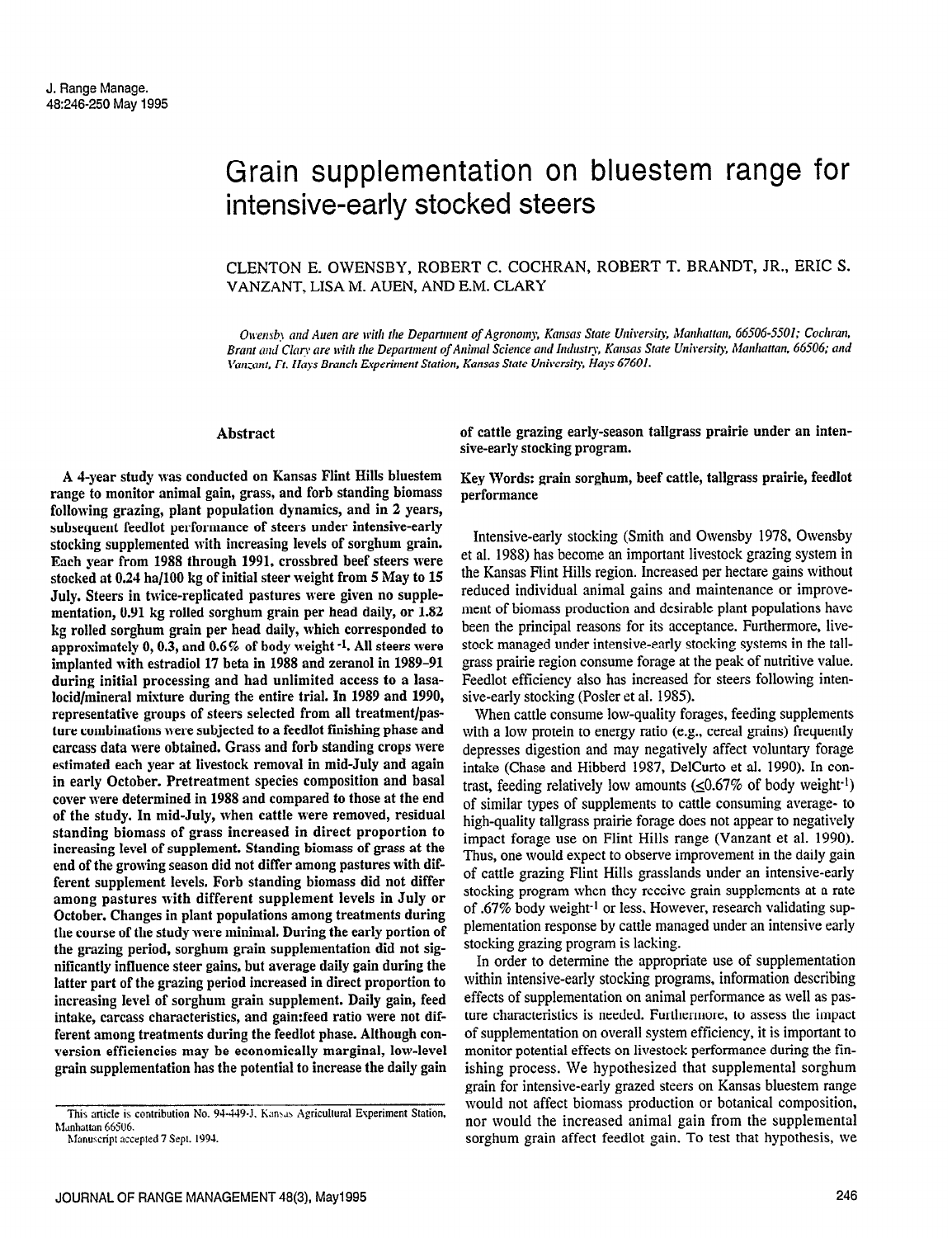# Grain supplementation on bluestem range for intensive-early stocked steers

# CLENTON E. OWENSBY, ROBERT C. COCHRAN, ROBERT T. BRANDT, JR., ERIC S. VANZANT, LISA M. AUEN, AND E.M. CLARY

Owensby and Auen are with the Department of Agronomy, Kansas State University, Manhattan, 66506-5501; Cochran, Brant and Clary are with the Department of Animal Science and Industry, Kansas State University, Manhattan, 66506; and Van:aut. Ft. Hays Branch Experiment Station, Kansas State University, Hays 67601.

sive-early stocking program.

performance

#### Abstract

A d-year study was conducted on Kansas Flint Hills bluestem range to monitor animal gain, grass, and forb standing biomass following grazing, plant population dynamics, and in 2 years, subsequent feedlot performance of steers under intensive-early stocking supplemented with increasing levels of sorghum grain. Each year from 1988 through 1991, crossbred beef steers were stocked at 0.24 ha/100 kg of initial steer weight from 5 May to 15 July. Steers in twice-replicated pastures were given no supplementation, 0.91 kg rolled sorghum grain per head daily, or 1.82 kg rolled sorghum grain per head daily, which corresponded to approximately 0,0.3, and 0.6 % of body weight -1. All steers were implanted with estradiol 17 beta in 1988 and zeranol in 1989-91 during initial processing and had unlimited access to a lasalocid/mineral mixture during the entire trial. In 1989 and 1990, representative groups of steers selected from all treatment/pasture combinations were subjected to a feedlot finishing phase and carcass data were obtained. Grass and forb standing crops were estimated each year at livestock removal in mid-July and again in early October. Pretreatment species composition and basal cover were determined in 1988 and compared to those at the end  $\frac{1}{2}$  the study in mid-July, when cattle were removed, residual of the stady, in mid-bury, when cattle were removed, residual standing biomass of grass increased in direct proportion to<br>increasing level of supplement. Standing biomass of grass at the end casing level of supplement. Standing biomass of grass at the diffind of the growing season and not unfer among pastures with the and the supplement levels, you be standing biomass and not different among pastures with unterent supplement levels in oury of October. Changes in plant populations among treatments during the course of the study were minimal. During the early portion of the grazing period, sorghum grain supplementation did not significantly influence steer gains, but average daily gain during the latter part of the grazing period increased in direct proportion to increasing level of sorghum grain supplement. Daily gain, feed intake, carcass characteristics, and gain:feed ratio were not different among treatments during the feedlot phase. Although conversion efficiencies may be economically marginal, low-level<br>grain supplementation has the potential to increase the daily gain

Intensive-early stocking (Smith and Owensby 1978, Owensby

et al. 19SS) has become an important livestock grazing system in the Kansas Flint Hills region. Increased per hectare gains without reduced individual animal gains and maintenance or improvement of biomass production and desirable plant populations have been the principal reasons for its acceptance. Furthermore, livestock managed under intensive-early stocking systems in the tallgrass prairie region consume forage at the peak of nutritive value. Feedlot efficiency also has increased for steers following intensive-early stocking (Posler et al. 1985).

of cattle grazing early-season tallgrass prairie under an inten-

Key Words: grain sorghum, beef cattle, tallgrass prairie, feedlot

When cattle consume low-quality forages, feeding supplements with a low protein to energy ratio (e.g., cereal grains) frequently depresses digestion and may negatively affect voluntary forage intake (Chase and Hibberd 1987, DelCurto et al. 1990). In contrast, feeding relatively low amounts  $(\leq 0.67\%$  of body weight<sup>-1</sup>) of similar types of supplements to cattle consuming average- to high-quality tallgrass prairie forage does not appear to negatively impact forage use on Flint Hills range (Vanzant et al. 1990). Thus, one would expect to observe improvement in the daily gain of cattle grazing Flint Hills grasslands under an intensive-early stocking program when they receive grain supplements at a rate of .67% body weight-l or less. However, research validating supplementation response by cattle managed under an intensive early stocking grazing program is lacking.

In order to determine the appropriate use of supplementation within intensive-early stocking programs, information describing effects of supplementation on animal performance as well as pasture characteristics is needed. Furthermore, to assess the impact  $\sigma_{\text{tot}}$  supplementation on overall system efficiency, it is important to of supprementation on overall system efficiency, it is important to monitor potential effects on livestock performance during the finishing process. We hypothesized that supplemental sorghum grain for intensive-early grazed steers on Kansas bluestem range would not affect biomass production or botanical composition, nor would the increased animal gain from the supplemental sorghum grain affect feedlot gain. To test that hypothesis, we

This article is. contribution No. 94-449-J. 6;1nu Agricultttnl Experiment Station. This article is contribution No. 94-449-J. Kansas Agricultural Experiment Station, Manhattan 66506.<br>Manuscript accepted 7 Sept. 1994.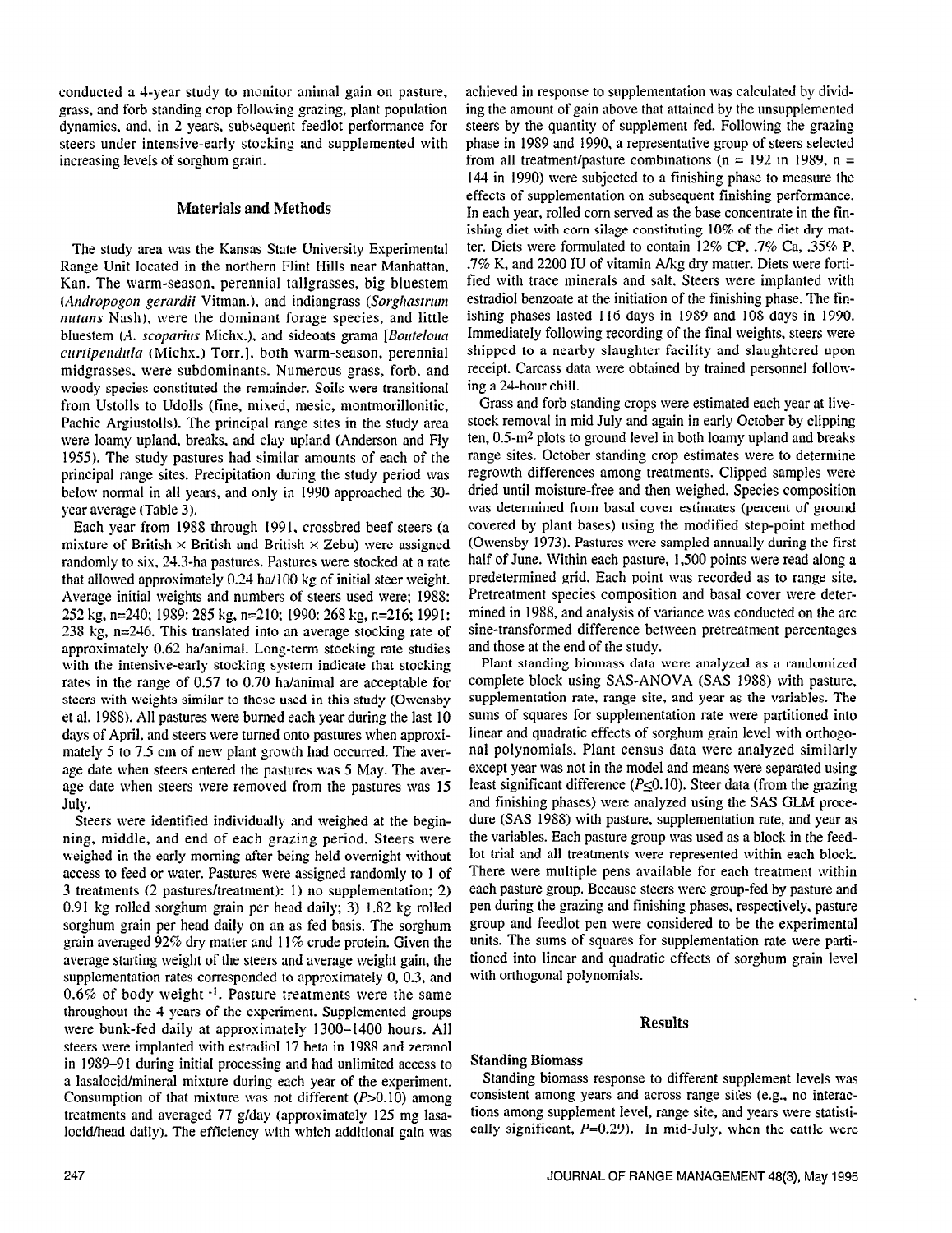conducted a 4-year study to monitor animal gain on pasture, grass, and forb standing crop following grazing, plant population dynamics. and, in 2 years, subsequent feedlot performance for steers under intensive-early stocking and supplemented with increasing levels of sorghum grain.

#### Materials and Methods

The study area was the Kansas State University Experimental Range Unit located in the northern Flint Hills near Manhattan, Kan. The warm-season. perennial tallgrasses, big bluestem (Andropogon gerardii Vitman.), and indiangrass (Sorghastrum nutans Nash), were the dominant forage species, and little bluestem (A. scoparius Michx.), and sideoats grama [Bouteloua curtipendula (Michx.) Torr.], both warm-season, perennial midgrasses. were subdominants. Numerous grass, forb, and woody species constituted the remainder. Soils were transitional from Ustolls to Udolls (fine, mixed, mesic, montmorillonitic, Pachic Argiustolls). The principal range sites in the study area were loamy upland. breaks, and clay upland (Anderson and Fly 1955). The study pastures had similar amounts of each of the principal range sites. Precipitation during the study period was below normal in all years, and only in 1990 approached the 30 year average (Table 3).

Each year from 1988 through 1991, crossbred beef steers (a mixture of British  $\times$  British and British  $\times$  Zebu) were assigned randomly to six. 24.3-ha pastures. Pastures were stocked at a rate that allowed approximately 0.24 ha/l00 kg of initial steer weight. Average initial weights and numbers of steers used were; 198X: 252 kg, n=240; 1989: 285 kg, n=210; 1990: 268 kg, n=216; 1991: 23s kg, n=246. This translated into an average stocking rate of approximately 0.62 ha/animal. Long-term stocking rate studies with the intensive-early stocking system indicate that stocking rates in the range of 0.57 to 0.70 ha/animal are acceptable for steers with weights similar to those used in this study (Owensby et al. 19SS). All pastures were burned each year during the last 10 days of April, and steers were turned onto pastures when approsimately 5 to 7.5 cm of new plant growth had occurred. The average date when steers entered the pastures was 5 May. The average date when steers were removed from the pastures was 15 July.

Steers were identified individually and weighed at the beginning, middle, and end of each grazing period. Steers were weighed in the early morning after being held overnight without access to feed or water. Pastures were assigned randomly to 1 of 3 treatments (2 pastures/treatment): 1) no supplementation; 2) 0.91 kg rolled sorghum grain per head daily; 3) 1.82 kg rolled sorghum grain per head daily on an as fed basis. The sorghum grain averaged 92% dry matter and 11% crude protein. Given the average starting weight of the steers and average weight gain, the supplementation rates corresponded to approximately 0, 0.3, and  $0.6\%$  of body weight  $-1$ . Pasture treatments were the same throughout the 4 years of the experiment. Supplemented groups were bunk-fed daily at approximately 1300-1400 hours. All steers were implanted with estradiol 17 beta in 1988 and zeranol in 1959-91 during initial processing and had unlimited access to a lasalocid/mineral mixture during each year of the experiment. Consumption of that mixture was not different  $(P>0.10)$  among treatments and averaged 77 g/day (approximately 125 mg lasalocid/head daily). The efficiency with which additional gain was

achieved in response to supplementation was calculated by dividing the amount of gain above that attained by the unsupplemented steers by the quantity of supplement fed. Following the grazing phase in 19S9 and 1990. a representative group of steers selected from all treatment/pasture combinations ( $n = 192$  in 1989,  $n =$ 144 in 1990) were subjected to a finishing phase to measure the effects of supplementation on subsequent finishing performance. In each year, rolled corn served as the base concentrate in the finishing diet with corn silage constituting 10% of the diet dry matter. Diets were formulated to contain 12% CP, .7% Ca, .35% P, .7% K, and 2200 IU of vitamin A/kg dry matter. Diets were fortified with trace minerals and salt. Steers were implanted with estradiol benzoate at the initiation of the finishing phase. The finishing phases lasted 116 days in 19S9 and 10X days in 1990. Immediately following recording of the final weights. steers were shipped to a nearby slaughter facility and slaughtered upon receipt. Carcass data were obtained by trained personnel folloming a 24-hour chill.

Grass and forb standing crops were estimated each year at livestock removal in mid July and again in early October by clipping ten,  $0.5 \text{--} \text{m}^2$  plots to ground level in both loamy upland and breaks range sites. October standing crop estimates were to determine regrowth differences among treatments. Clipped samples were dried until moisture-free and then weighed. Species composition was determined from basal cover estimates (percent of ground covered by plant bases) using the modified step-point method (Owensby 1973). Pastures were sampled annually during the first half of June. Within each pasture, 1,500 points were read along a predetermined grid. Each point was recorded as to range site. Pretreatment species composition and basal cover were determined in 19S8, and analysis of variance was conducted on the arc sine-transformed difference between pretreatment percentages and those at the end of the study.

Plant standing biomass data were analyzed as a randomized complete block using SAS-ANOVA (SAS 19SS) with pasture, supplementation rate, range site, and year as the variables. The sums of squares for supplementation rate were partitioned into linear and quadratic effects of sorghum grain level with orthogonal polynomials. Plant census data were analyzed similarly except year was not in the model and means were separated using least significant difference ( $P \le 0.10$ ). Steer data (from the grazing and finishing phases) were analyzed using the SAS GLM procedure (SAS 19SS) with pasture, supplementation rate, and year as the variables. Each pasture group was used as a block in the feedlot trial and all treatments were represented within each block. There were multiple pens available for each treatment within each pasture group. Because steers were group-fed by pasture and pen during the grazing and finishing phases, respectively, pasture group and feedlot pen were considered to be the esperimental units. The sums of squares for supplementation rate were partitioned into linear and quadratic effects of sorghum grain level with orthogonal polynomials.

#### Results

#### Standing Biomass

Standing biomass response to different supplement levels was consistent among years and across range sites (e.g., no interactions among supplement level, range site, and years were statistically significant,  $P=0.29$ ). In mid-July, when the cattle were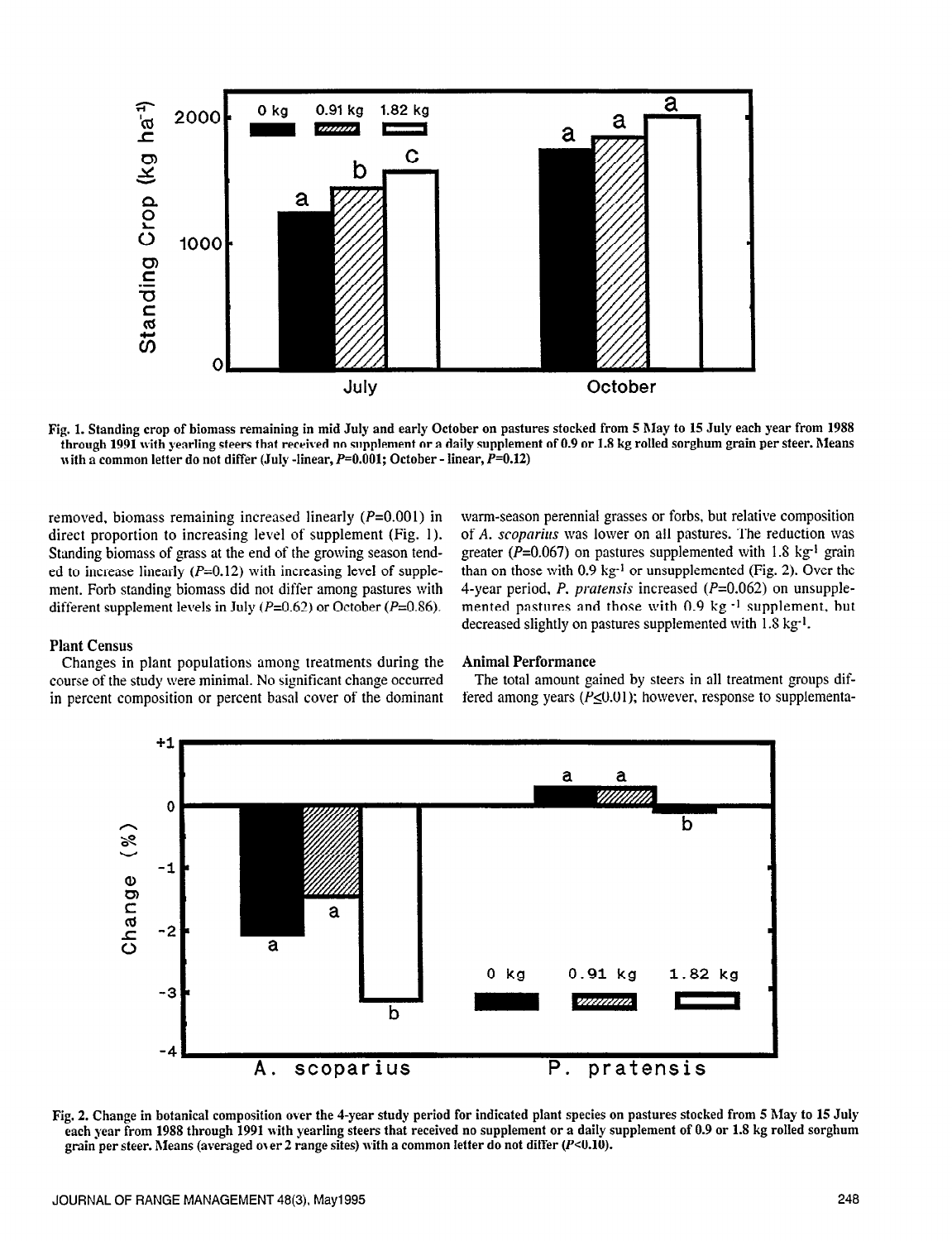

Fig. 1. Standing crop of biomass remaining in mid July and early October on pastures stocked from 5 May to 15 July each year from 1988 through 1991 with yearling steers that received no supplement or a daily supplement of 0.9 or 1.8 kg rolled sorghum grain per steer. Means with a common letter do not differ (July -linear,  $P=0.001$ ; October - linear,  $P=0.12$ )

removed, biomass remaining increased linearly  $(P=0.001)$  in direct proportion to increasing level of supplement (Fig. 1). Standing biomass of grass at the end of the growing season tended to increase linearly  $(P=0.12)$  with increasing level of supplement. Forb standing biomass did not differ among pastures with different supplement levels in July ( $P=0.62$ ) or October ( $P=0.86$ ).

warm-season perennial grasses or forbs, but relative composition of A. scoparius was lower on all pastures. The reduction was greater ( $P=0.067$ ) on pastures supplemented with 1.8 kg<sup>-1</sup> grain than on those with  $0.9 \text{ kg}^{-1}$  or unsupplemented (Fig. 2). Over the 4-year period, P. pratensis increased (P=O.O62) on unsupplemented pastures and those with 0.9 kg -1 supplement, but decreased slightly on pastures supplemented with 1.8 kg<sup>-1</sup>.

#### Plant Census

Changes in plant populations among treatments during the course of the study were minimal. No significant change occurred in percent composition or percent basal cover of the dominant

#### Animal Performance

The total amount gained by steers in all treatment groups differed among years ( $P \le 0.01$ ); however, response to supplementa-



Fig. 2. Change in botanical composition over the 4-year study period for indicated plant species on pastures stocked from 5 May to 15 July each year from 1988 through 1991 with yearling steers that received no supplement or a daily supplement of 0.9 or 1.8 kg rolled sorghum grain per steer. Means (averaged over 2 range sites) with a common letter do not diff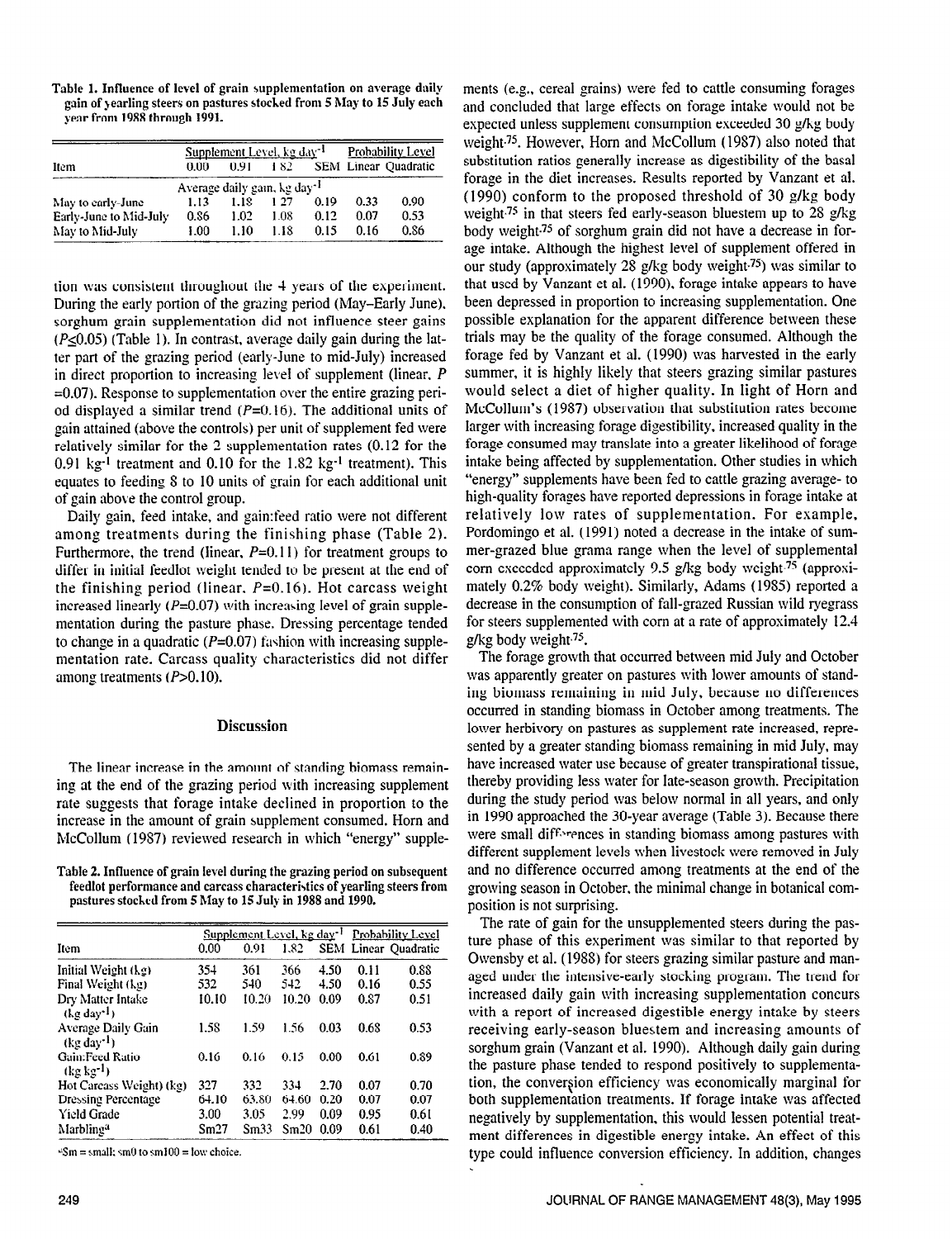Table 1. Influence of level of grain supplementation on average daily gain of gearling steers on pastures stoched from 5 hlay to 15 July each year from 1988 through 1991.

|                                          | Supplement Level, kg day <sup>-1</sup> |      |      |      | Probability_Level |                      |  |  |  |  |
|------------------------------------------|----------------------------------------|------|------|------|-------------------|----------------------|--|--|--|--|
| Item                                     | 0.00                                   | 0.91 | 182  |      |                   | SEM Linear Quadratic |  |  |  |  |
| Average daily gain, kg day <sup>-1</sup> |                                        |      |      |      |                   |                      |  |  |  |  |
| May to early-June                        | 1.13                                   | 1.18 | 1.27 | 0.19 | 0.33              | 0.90                 |  |  |  |  |
| Early-June to Mid-July                   | 0.86                                   | 1.02 | 1.08 | 0.12 | 0.07              | 0.53                 |  |  |  |  |
| May to Mid-July                          | 1.00                                   | 1.10 | 1.18 | 0.15 | 0.16              | 0.86                 |  |  |  |  |

tion was consistent throughout the 4 years of the experiment. During the early portion of the grazing period (May-Early June). sorghum grain supplementation did not influence steer gains  $(P<0.05)$  (Table 1). In contrast, average daily gain during the latter part of the grazing period (early-June to mid-July) increased in direct proportion to increasing level of supplement (linear,  $P$ =0.07). Response to supplementation over the entire grazing period displayed a similar trend  $(P=0.16)$ . The additional units of gain attained (above the controls) per unit of supplement fed were relatively similar for the  $2$  supplementation rates  $(0.12$  for the  $0.91 \text{ kg}^{-1}$  treatment and  $0.10$  for the  $1.82 \text{ kg}^{-1}$  treatment). This equates to feeding S to 10 units of grain for each additional unit of gain above the control group.

Daily gain, feed intake, and gain:feed ratio were not different among treatments during the finishing phase (Table 2). Furthermore, the trend (linear,  $P=0.11$ ) for treatment groups to differ in initial feedlot weight tended to be present at the end of the finishing period (linear,  $P=0.16$ ). Hot carcass weight increased linearly  $(P=0.07)$  with increasing level of grain supplementation during the pasture phase. Dressing percentage tended to change in a quadratic  $(P=0.07)$  fashion with increasing supplementation rate. Carcass quality characteristics did not differ among treatments  $(P>0.10)$ .

## **Discussion**

The linear increase in the amount of standing biomass remaining at the end of the grazing period with increasing supplement rate suggests that forage intake declined in proportion to the ince suggests that forage make accritica in proportion to the  $R_{\rm C}$ C<sub>o</sub>ll  $(1987)$  reviewed research in which  $R_{\rm C}$  is a supplement consumed, from and

Table 2. Influence of grain level during the grazing period on subsequent fore z. minuence of grain lever during the grazing period on subsequent feedlot performance and carcass characteristics of yearling steers from pastures stocked from 5 May to 15 July in 1988 and 1990.

|                                           | Supplement Level, kg day <sup>-1</sup> |       |       |      | Probability Level |                             |  |
|-------------------------------------------|----------------------------------------|-------|-------|------|-------------------|-----------------------------|--|
| Item                                      | 0.00                                   | 0.91  | 1.82  |      |                   | <b>SEM Linear Quadratic</b> |  |
| Initial Weight (kg)                       | 354                                    | 361   | 366   | 4.50 | 0.11              | 0.88                        |  |
| Final Weight (kg)                         | 532                                    | 540   | 542   | 4.50 | 0.16              | 0.55                        |  |
| Dry Matter Intake<br>$($ le dav $^{-1}$ ) | 10.10                                  | 10.20 | 10.20 | 0.09 | 0.87              | 0.51                        |  |
| Average Daily Gain<br>$(kg day^{-1})$     | 1.58                                   | 1.59  | 1.56  | 0.03 | 0.68              | 0.53                        |  |
| Gain:Feed Ratio<br>$(kg kg^{-1})$         | 0.16                                   | 0.16  | 0.15  | 0.00 | 0.61              | 0.89                        |  |
| Hot Carcass Weight) (kg)                  | 327                                    | 332   | 334   | 2.70 | 0.07              | 0.70                        |  |
| <b>Dressing Percentage</b>                | 64.10                                  | 63.80 | 64.60 | 0.20 | 0.07              | 0.07                        |  |
| <b>Yield Grade</b>                        | 3.00                                   | 3.05  | 2.99  | 0.09 | 0.95              | 0.61                        |  |
| Marbling <sup>a</sup>                     | Sm27                                   | Sm33  | Sm20  | 0.09 | 0.61              | 0.40                        |  |

 $\sqrt{2}$ Sm = small; sm0 to sm100 = low choice.

ments (e.g.. cereal grains) were fed to cattle consuming forages and concluded that large effects on forage intake would not be expected unless supplement consumption exceeded 30 g/kg body weight.75. However. Horn and McCollum (19S7) also noted that substitution ratios generally increase as digestibility of the basal forage in the diet increases. Results reported by Vanzant et al. (1990) conform to the proposed threshold of 30 g/kg body weight<sup>75</sup> in that steers fed early-season bluestem up to 28 g/kg body weight.75 of sorghum grain did not have a decrease in forage intake. Although the highest level of supplement offered in our study (approximately 28 g/kg body weight.75) was similar to that used by Vanzant et al. (1990). forage intake appears to have been depressed in proportion to increasing supplementation. One possible explanation for the apparent difference between these trials may be the quality of the forage consumed. Although the forage fed by Vanzant et al. (1990) was harvested in the early summer, it is highly likely that steers grazing similar pastures would select a diet of higher quality. In light of Horn and McCollum's (1987) observation that substitution rates become larger with increasing forage digestibility, increased quality in the forage consumed may translate into a greater likelihood of forage intake being affected by supplementation. Other studies in which "energy" supplements have been fed to cattle grazing average- to high-quality forages have reported depressions in forage intake at relatively low rates of supplementation. For example. Pordomingo et al. (1991) noted a decrease in the intake of summer-grazed blue grama range when the level of supplemental corn exceeded approximately 9.5 g/kg body weight.<sup>75</sup> (approximately 0.2% body weight). Similarly, Adams (19S5) reported a decrease in the consumption of fall-grazed Russian wild ryegrass for steers supplemented with corn at a rate of approximately 12.4 g/kg body weight $^{75}$ .

The forage growth that occurred between mid July and October was apparently greater on pastures with lower amounts of standing biomass remaining in mid July, because no differences occurred in standing biomass in October among treatments. The lower herbivory on pastures as supplement rate increased, represented by a greater standing biomass remaining in mid July, may have increased water use because of greater transpirational tissue, thereby providing less water for late-season growth. Precipitation during the study period was below normal in all years, and only in 1990 approached the 30-year average (Table 3). Because there were small differences in standing biomass among pastures with different supplement levels when livestock were removed in July and no difference occurred among treatments at the end of the growing season in October, the minimal change in botanical composition is not surprising. The rate of gain for the unsupplemented steers during the pas-

the fact of gain for the unsupplemented sicels during the pasture phase of this experiment was similar to that reported by Owensby et al. (1988) for steers grazing similar pasture and managed under the intensive-early stocking program. The trend for aged dilucreased increasing stocking program. The frend for mereased dany gain with increasing supplementation concurs with a report of increased digestible energy intake by steers receiving early-season bluestem and increasing amounts of sorghum grain (Vanzant et al. 1990). Although daily gain during the pasture phase tended to respond positively to supplementation, the conversion efficiency was economically marginal for both supplementation treatments. If forage intake was affected negatively by supplementation, this would lessen potential treatment differences in digestible energy intake. An effect of this type could influence conversion efficiency. In addition, changes